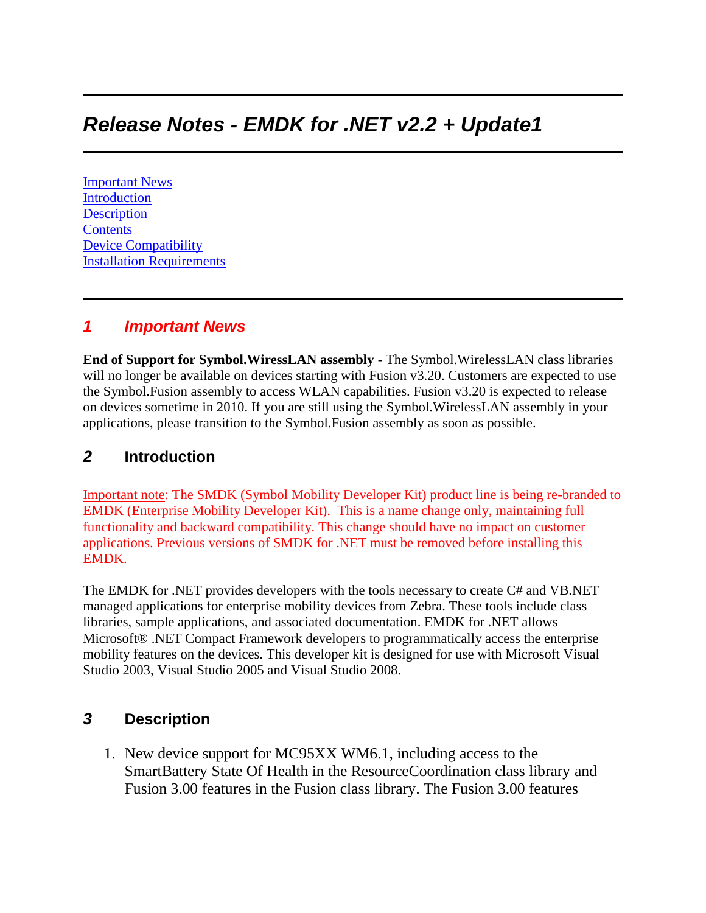# *Release Notes - EMDK for .NET v2.2 + Update1*

[Important News](https://atgsupportcentral.motorolasolutions.com/content/emb/docs/ReleaseNotes/Release%20Notes%20-%20EMDK-M-020205-UP1.htm#Important_News) [Introduction](https://atgsupportcentral.motorolasolutions.com/content/emb/docs/ReleaseNotes/Release%20Notes%20-%20EMDK-M-020205-UP1.htm#Introduction) **[Description](https://atgsupportcentral.motorolasolutions.com/content/emb/docs/ReleaseNotes/Release%20Notes%20-%20EMDK-M-020205-UP1.htm#Description) [Contents](https://atgsupportcentral.motorolasolutions.com/content/emb/docs/ReleaseNotes/Release%20Notes%20-%20EMDK-M-020205-UP1.htm#Contents)** [Device Compatibility](https://atgsupportcentral.motorolasolutions.com/content/emb/docs/ReleaseNotes/Release%20Notes%20-%20EMDK-M-020205-UP1.htm#Compatibility_) [Installation Requirements](https://atgsupportcentral.motorolasolutions.com/content/emb/docs/ReleaseNotes/Release%20Notes%20-%20EMDK-M-020205-UP1.htm#Installation_Requirements)

#### *1 Important News*

**End of Support for Symbol.WiressLAN assembly** - The Symbol.WirelessLAN class libraries will no longer be available on devices starting with Fusion v3.20. Customers are expected to use the Symbol.Fusion assembly to access WLAN capabilities. Fusion v3.20 is expected to release on devices sometime in 2010. If you are still using the Symbol.WirelessLAN assembly in your applications, please transition to the Symbol.Fusion assembly as soon as possible.

### *2* **Introduction**

Important note: The SMDK (Symbol Mobility Developer Kit) product line is being re-branded to EMDK (Enterprise Mobility Developer Kit). This is a name change only, maintaining full functionality and backward compatibility. This change should have no impact on customer applications. Previous versions of SMDK for .NET must be removed before installing this EMDK.

The EMDK for .NET provides developers with the tools necessary to create C# and VB.NET managed applications for enterprise mobility devices from Zebra. These tools include class libraries, sample applications, and associated documentation. EMDK for .NET allows Microsoft® .NET Compact Framework developers to programmatically access the enterprise mobility features on the devices. This developer kit is designed for use with Microsoft Visual Studio 2003, Visual Studio 2005 and Visual Studio 2008.

# *3* **Description**

1. New device support for MC95XX WM6.1, including access to the SmartBattery State Of Health in the ResourceCoordination class library and Fusion 3.00 features in the Fusion class library. The Fusion 3.00 features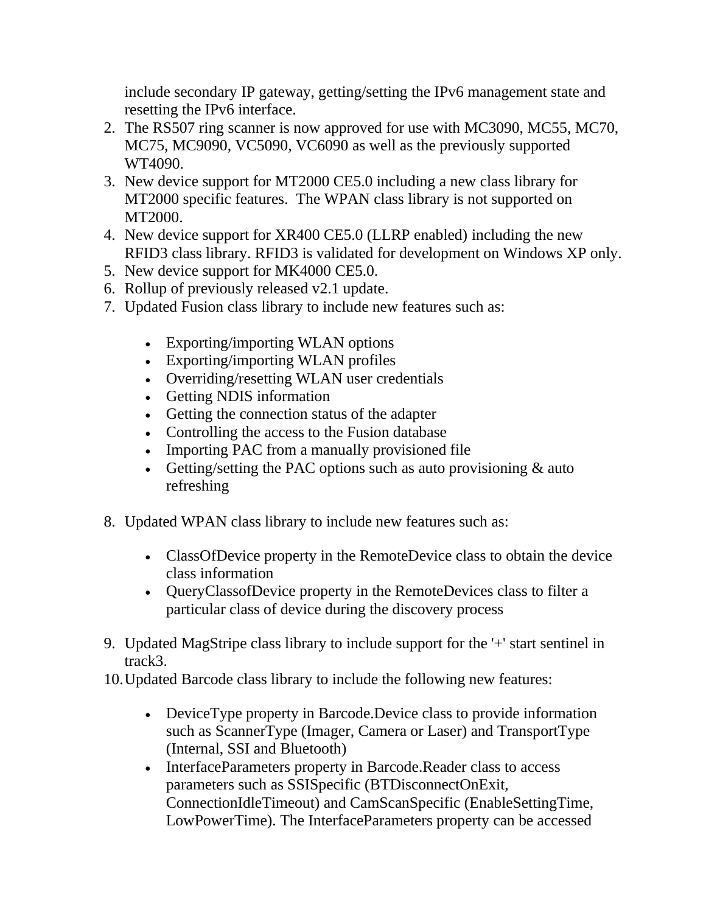include secondary IP gateway, getting/setting the IPv6 management state and resetting the IPv6 interface.

- 2. The RS507 ring scanner is now approved for use with MC3090, MC55, MC70, MC75, MC9090, VC5090, VC6090 as well as the previously supported WT4090.
- 3. New device support for MT2000 CE5.0 including a new class library for MT2000 specific features. The WPAN class library is not supported on MT2000.
- 4. New device support for XR400 CE5.0 (LLRP enabled) including the new RFID3 class library. RFID3 is validated for development on Windows XP only.
- 5. New device support for MK4000 CE5.0.
- 6. Rollup of previously released v2.1 update.
- 7. Updated Fusion class library to include new features such as:
	- Exporting/importing WLAN options
	- Exporting/importing WLAN profiles
	- Overriding/resetting WLAN user credentials
	- Getting NDIS information
	- Getting the connection status of the adapter
	- Controlling the access to the Fusion database
	- Importing PAC from a manually provisioned file
	- Getting/setting the PAC options such as auto provisioning  $&$  auto refreshing
- 8. Updated WPAN class library to include new features such as:
	- ClassOfDevice property in the RemoteDevice class to obtain the device class information
	- QueryClassofDevice property in the RemoteDevices class to filter a particular class of device during the discovery process
- 9. Updated MagStripe class library to include support for the '+' start sentinel in track3.
- 10.Updated Barcode class library to include the following new features:
	- DeviceType property in Barcode.Device class to provide information such as ScannerType (Imager, Camera or Laser) and TransportType (Internal, SSI and Bluetooth)
	- InterfaceParameters property in Barcode.Reader class to access parameters such as SSISpecific (BTDisconnectOnExit, ConnectionIdleTimeout) and CamScanSpecific (EnableSettingTime, LowPowerTime). The InterfaceParameters property can be accessed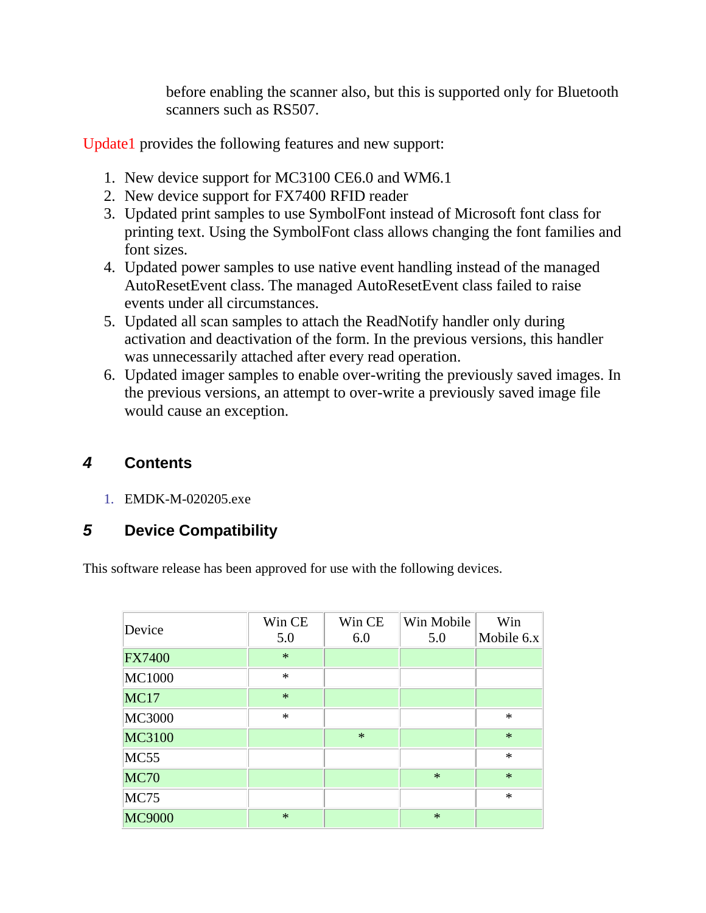before enabling the scanner also, but this is supported only for Bluetooth scanners such as RS507.

Update1 provides the following features and new support:

- 1. New device support for MC3100 CE6.0 and WM6.1
- 2. New device support for FX7400 RFID reader
- 3. Updated print samples to use SymbolFont instead of Microsoft font class for printing text. Using the SymbolFont class allows changing the font families and font sizes.
- 4. Updated power samples to use native event handling instead of the managed AutoResetEvent class. The managed AutoResetEvent class failed to raise events under all circumstances.
- 5. Updated all scan samples to attach the ReadNotify handler only during activation and deactivation of the form. In the previous versions, this handler was unnecessarily attached after every read operation.
- 6. Updated imager samples to enable over-writing the previously saved images. In the previous versions, an attempt to over-write a previously saved image file would cause an exception.

# *4* **Contents**

1. EMDK-M-020205.exe

# *5* **Device Compatibility**

This software release has been approved for use with the following devices.

| Device        | Win CE<br>5.0 | Win CE<br>6.0 | Win Mobile<br>5.0 | Win<br>Mobile $6x$ |
|---------------|---------------|---------------|-------------------|--------------------|
| <b>FX7400</b> | $\ast$        |               |                   |                    |
| <b>MC1000</b> | $\ast$        |               |                   |                    |
| <b>MC17</b>   | $\ast$        |               |                   |                    |
| <b>MC3000</b> | $\ast$        |               |                   | $\ast$             |
| <b>MC3100</b> |               | $\ast$        |                   | $\ast$             |
| <b>MC55</b>   |               |               |                   | $\ast$             |
| <b>MC70</b>   |               |               | $\ast$            | $\ast$             |
| <b>MC75</b>   |               |               |                   | $\ast$             |
| <b>MC9000</b> | $\ast$        |               | $\ast$            |                    |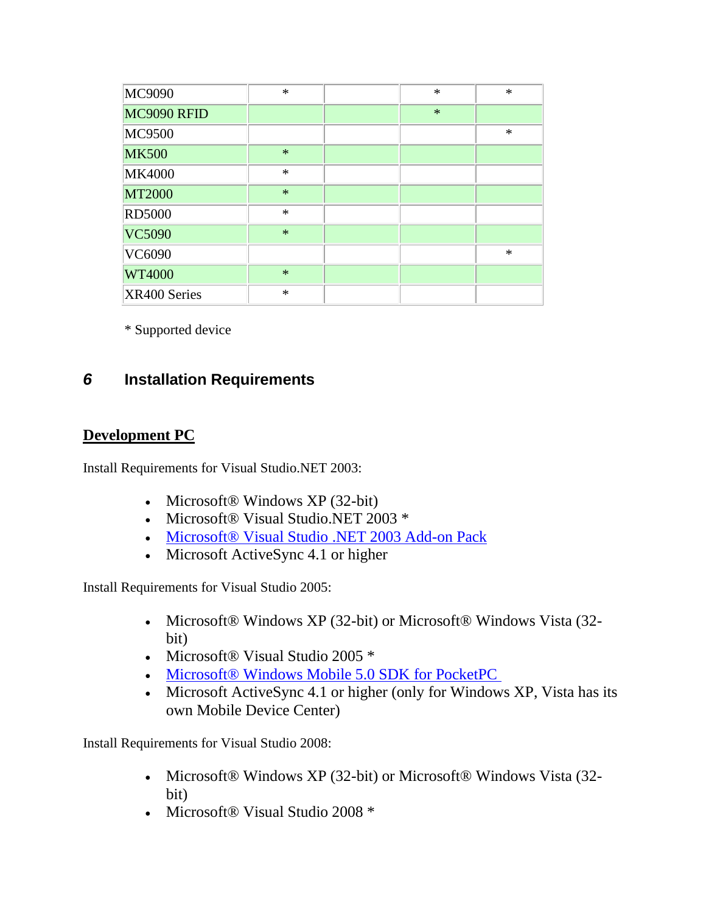| MC9090        | $\ast$ | $\ast$ | $\ast$ |
|---------------|--------|--------|--------|
| MC9090 RFID   |        | $\ast$ |        |
| <b>MC9500</b> |        |        | $\ast$ |
| <b>MK500</b>  | $\ast$ |        |        |
| <b>MK4000</b> | $\ast$ |        |        |
| <b>MT2000</b> | $\ast$ |        |        |
| <b>RD5000</b> | $\ast$ |        |        |
| <b>VC5090</b> | $\ast$ |        |        |
| VC6090        |        |        | $\ast$ |
| <b>WT4000</b> | $\ast$ |        |        |
| XR400 Series  | $\ast$ |        |        |

\* Supported device

# *6* **Installation Requirements**

### **Development PC**

Install Requirements for Visual Studio.NET 2003:

- Microsoft $\circledR$  Windows XP (32-bit)
- Microsoft® Visual Studio.NET 2003 \*
- [Microsoft® Visual Studio .NET 2003 Add-on Pack](http://www.microsoft.com/downloads/details.aspx?FamilyID=7ec99ca6-2095-4086-b0cc-7c6c39b28762&DisplayLang=en)
- Microsoft ActiveSync 4.1 or higher

Install Requirements for Visual Studio 2005:

- Microsoft® Windows XP (32-bit) or Microsoft® Windows Vista (32bit)
- Microsoft® Visual Studio 2005 \*
- [Microsoft® Windows Mobile 5.0 SDK for PocketPC](http://www.microsoft.com/downloads/details.aspx?FamilyID=83A52AF2-F524-4EC5-9155-717CBE5D25ED&displaylang=en)
- Microsoft ActiveSync 4.1 or higher (only for Windows XP, Vista has its own Mobile Device Center)

Install Requirements for Visual Studio 2008:

- Microsoft® Windows XP (32-bit) or Microsoft® Windows Vista (32 bit)
- Microsoft® Visual Studio 2008 \*